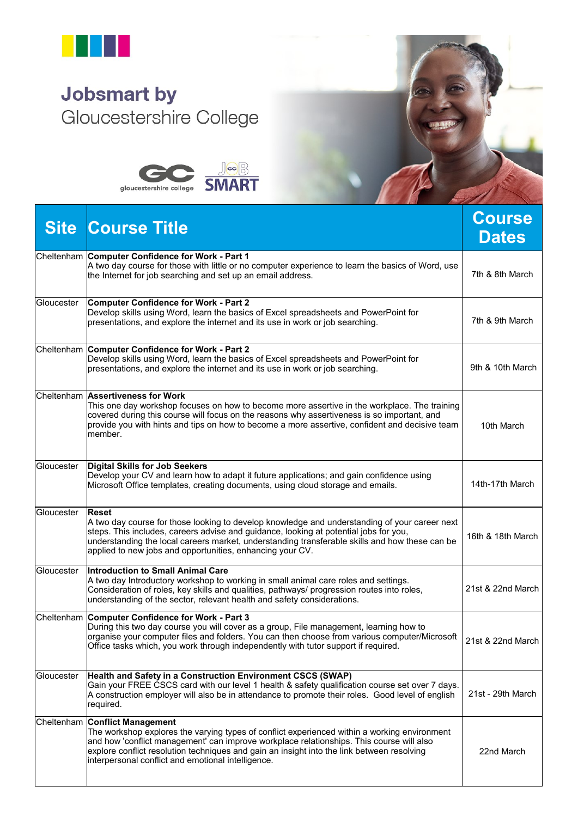

## **Jobsmart by** Gloucestershire College